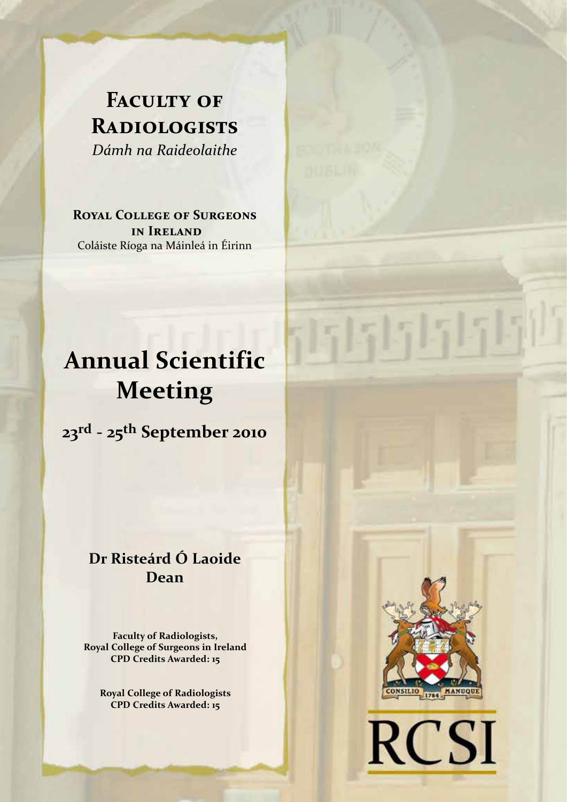## **FACULTY OF Radiologists**  *Dámh na Raideolaithe*

**Royal College of Surgeons in Ireland** Coláiste Ríoga na Máinleá in Éirinn

# **Annual Scientific Meeting**

**23rd - 25th September 2010**

## **Dr Risteárd Ó Laoide Dean**

**Faculty of Radiologists, Royal College of Surgeons in Ireland CPD Credits Awarded: 15**

**Royal College of Radiologists CPD Credits Awarded: 15**



5151515151

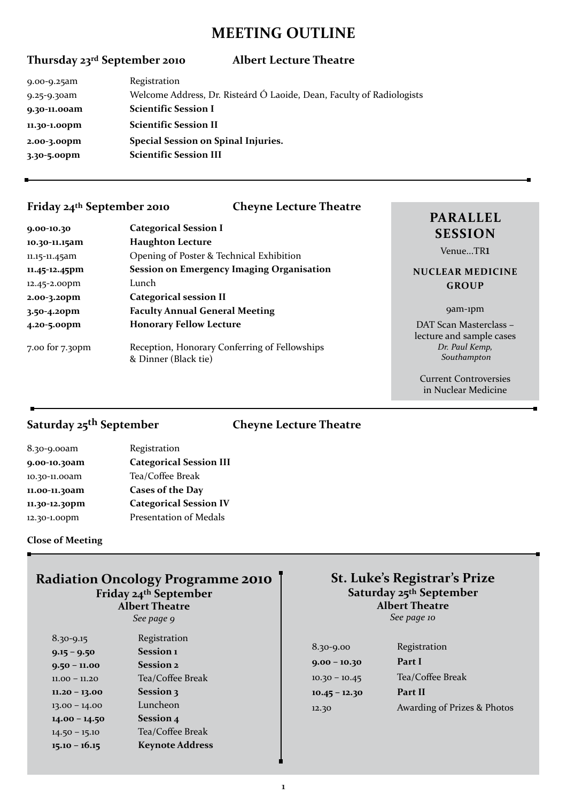## **MEETING OUTLINE**

### **Thursday 23rd September 2010 Albert Lecture Theatre**

| 9.00-9.25am  | Registration                                                          |
|--------------|-----------------------------------------------------------------------|
| 9.25-9.30am  | Welcome Address, Dr. Risteárd Ó Laoide, Dean, Faculty of Radiologists |
| 9.30-11.00am | <b>Scientific Session I</b>                                           |
| 11.30-1.00pm | <b>Scientific Session II</b>                                          |
| 2.00-3.00pm  | Special Session on Spinal Injuries.                                   |
| 3.30-5.00pm  | <b>Scientific Session III</b>                                         |
|              |                                                                       |

### **Friday 24th September 2010 Cheyne Lecture Theatre**

| 9.00-10.30      | <b>Categorical Session I</b>                                          |
|-----------------|-----------------------------------------------------------------------|
| 10.30-11.15am   | <b>Haughton Lecture</b>                                               |
| 11.15-11.45am   | Opening of Poster & Technical Exhibition                              |
| 11.45-12.45pm   | <b>Session on Emergency Imaging Organisation</b>                      |
| 12.45-2.00pm    | Lunch                                                                 |
| 2.00-3.20pm     | <b>Categorical session II</b>                                         |
| 3.50-4.20pm     | <b>Faculty Annual General Meeting</b>                                 |
| 4.20-5.00pm     | <b>Honorary Fellow Lecture</b>                                        |
| 7.00 for 7.30pm | Reception, Honorary Conferring of Fellowships<br>& Dinner (Black tie) |

## **parallel session**

Venue...TR1

#### **Nuclear Medicine Group**

#### 9am-1pm

DAT Scan Masterclass – lecture and sample cases *Dr. Paul Kemp, Southampton*

Current Controversies in Nuclear Medicine

## **Saturday 25th September Cheyne Lecture Theatre**

| 8.30-9.00am   | Registration                   |
|---------------|--------------------------------|
| 9.00-10.30am  | <b>Categorical Session III</b> |
| 10.30-11.00am | Tea/Coffee Break               |
| 11.00-11.30am | Cases of the Day               |
| 11.30-12.30pm | <b>Categorical Session IV</b>  |
| 12.30-1.00pm  | Presentation of Medals         |
|               |                                |

#### **Close of Meeting**

## **Radiation Oncology Programme 2010 Friday 24th September Albert Theatre**

*See page 9*

| 8.30-9.15       | Registration           |
|-----------------|------------------------|
| $9.15 - 9.50$   | Session 1              |
| $9.50 - 11.00$  | <b>Session 2</b>       |
| $11.00 - 11.20$ | Tea/Coffee Break       |
| $11.20 - 13.00$ | Session 3              |
| $13.00 - 14.00$ | Luncheon               |
| $14.00 - 14.50$ | Session 4              |
| $14.50 - 15.10$ | Tea/Coffee Break       |
| $15.10 - 16.15$ | <b>Keynote Address</b> |
|                 |                        |

#### **St. Luke's Registrar's Prize Saturday 25th September Albert Theatre**  *See page 10*

| $8.30 - 9.00$   | Registration                |
|-----------------|-----------------------------|
| $9.00 - 10.30$  | Part I                      |
| $10.30 - 10.45$ | Tea/Coffee Break            |
| $10.45 - 12.30$ | Part II                     |
| 12.30           | Awarding of Prizes & Photos |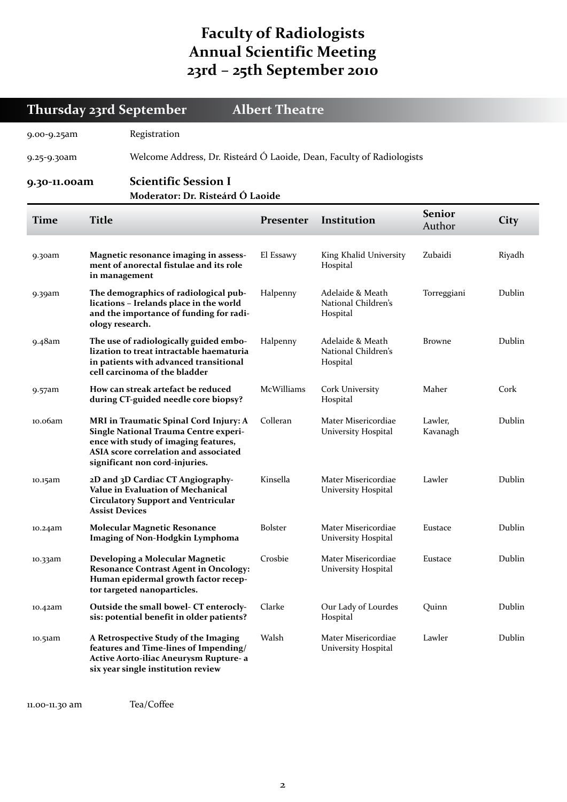## **Faculty of Radiologists Annual Scientific Meeting 23rd – 25th September 2010**

**Thursday 23rd September Albert Theatre**

| Registration<br>9.00-9.25am                                                          |                       |                                                                                                                                                                                                    |                |                                                     |                         |        |
|--------------------------------------------------------------------------------------|-----------------------|----------------------------------------------------------------------------------------------------------------------------------------------------------------------------------------------------|----------------|-----------------------------------------------------|-------------------------|--------|
| Welcome Address, Dr. Risteárd Ó Laoide, Dean, Faculty of Radiologists<br>9.25-9.30am |                       |                                                                                                                                                                                                    |                |                                                     |                         |        |
| 9.30-11.00am                                                                         |                       | <b>Scientific Session I</b><br>Moderator: Dr. Risteárd Ó Laoide                                                                                                                                    |                |                                                     |                         |        |
| <b>Time</b>                                                                          | <b>Title</b>          |                                                                                                                                                                                                    | Presenter      | Institution                                         | <b>Senior</b><br>Author | City   |
| 9.30am                                                                               | in management         | Magnetic resonance imaging in assess-<br>ment of anorectal fistulae and its role                                                                                                                   | El Essawy      | King Khalid University<br>Hospital                  | Zubaidi                 | Riyadh |
| 9.39am                                                                               | ology research.       | The demographics of radiological pub-<br>lications - Irelands place in the world<br>and the importance of funding for radi-                                                                        | Halpenny       | Adelaide & Meath<br>National Children's<br>Hospital | Torreggiani             | Dublin |
| 9.48am                                                                               |                       | The use of radiologically guided embo-<br>lization to treat intractable haematuria<br>in patients with advanced transitional<br>cell carcinoma of the bladder                                      | Halpenny       | Adelaide & Meath<br>National Children's<br>Hospital | <b>Browne</b>           | Dublin |
| 9.57am                                                                               |                       | How can streak artefact be reduced<br>during CT-guided needle core biopsy?                                                                                                                         |                | Cork University<br>Hospital                         | Maher                   | Cork   |
| 10.06am                                                                              |                       | MRI in Traumatic Spinal Cord Injury: A<br>Single National Trauma Centre experi-<br>ence with study of imaging features,<br>ASIA score correlation and associated<br>significant non cord-injuries. | Colleran       | Mater Misericordiae<br>University Hospital          | Lawler,<br>Kavanagh     | Dublin |
| 10.15am                                                                              | <b>Assist Devices</b> | 2D and 3D Cardiac CT Angiography-<br>Value in Evaluation of Mechanical<br><b>Circulatory Support and Ventricular</b>                                                                               | Kinsella       | Mater Misericordiae<br>University Hospital          | Lawler                  | Dublin |
| 10.24am                                                                              |                       | <b>Molecular Magnetic Resonance</b><br><b>Imaging of Non-Hodgkin Lymphoma</b>                                                                                                                      | <b>Bolster</b> | Mater Misericordiae<br>University Hospital          | Eustace                 | Dublin |
| 10.33am                                                                              |                       | Developing a Molecular Magnetic<br><b>Resonance Contrast Agent in Oncology:</b><br>Human epidermal growth factor recep-<br>tor targeted nanoparticles.                                             | Crosbie        | Mater Misericordiae<br>University Hospital          | Eustace                 | Dublin |
| 10.42am                                                                              |                       | Outside the small bowel- CT enterocly-<br>sis: potential benefit in older patients?                                                                                                                | Clarke         | Our Lady of Lourdes<br>Hospital                     | Quinn                   | Dublin |
| 10.51am                                                                              |                       | A Retrospective Study of the Imaging<br>features and Time-lines of Impending/<br>Active Aorto-iliac Aneurysm Rupture- a<br>six year single institution review                                      | Walsh          | Mater Misericordiae<br>University Hospital          | Lawler                  | Dublin |

11.00-11.30 am Tea/Coffee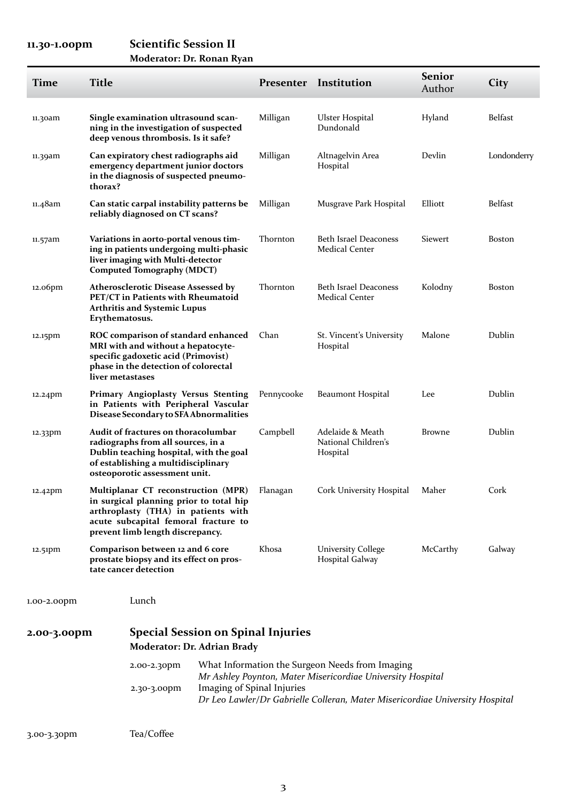## **11.30-1.00pm Scientific Session II**

| Moderator: Dr. Ronan Ryan |  |  |  |
|---------------------------|--|--|--|
|---------------------------|--|--|--|

| <b>Time</b> | <b>Title</b>                                                                                                                                                                                               |                                                                                                                                                                              |                            |                                                     | <b>Presenter Institution</b>                                                                                                               | <b>Senior</b><br>Author | City           |
|-------------|------------------------------------------------------------------------------------------------------------------------------------------------------------------------------------------------------------|------------------------------------------------------------------------------------------------------------------------------------------------------------------------------|----------------------------|-----------------------------------------------------|--------------------------------------------------------------------------------------------------------------------------------------------|-------------------------|----------------|
| 11.30am     |                                                                                                                                                                                                            | Single examination ultrasound scan-<br>ning in the investigation of suspected<br>deep venous thrombosis. Is it safe?                                                         |                            | Milligan                                            | Ulster Hospital<br>Dundonald                                                                                                               | Hyland                  | <b>Belfast</b> |
| 11.39am     | thorax?                                                                                                                                                                                                    | Can expiratory chest radiographs aid<br>emergency department junior doctors<br>in the diagnosis of suspected pneumo-                                                         |                            | Milligan                                            | Altnagelvin Area<br>Hospital                                                                                                               | Devlin                  | Londonderry    |
| 11.48am     |                                                                                                                                                                                                            | Can static carpal instability patterns be<br>reliably diagnosed on CT scans?                                                                                                 |                            | Milligan                                            | Musgrave Park Hospital                                                                                                                     | Elliott                 | <b>Belfast</b> |
| 11.57am     |                                                                                                                                                                                                            | Variations in aorto-portal venous tim-<br>ing in patients undergoing multi-phasic<br>liver imaging with Multi-detector<br>Computed Tomography (MDCT)                         |                            | Thornton                                            | <b>Beth Israel Deaconess</b><br><b>Medical Center</b>                                                                                      | <b>Siewert</b>          | <b>Boston</b>  |
| 12.06pm     |                                                                                                                                                                                                            | <b>Atherosclerotic Disease Assessed by</b><br>PET/CT in Patients with Rheumatoid<br><b>Arthritis and Systemic Lupus</b><br>Erythematosus.                                    |                            | Thornton                                            | <b>Beth Israel Deaconess</b><br><b>Medical Center</b>                                                                                      | Kolodny                 | <b>Boston</b>  |
| 12.15pm     |                                                                                                                                                                                                            | ROC comparison of standard enhanced<br>MRI with and without a hepatocyte-<br>specific gadoxetic acid (Primovist)<br>phase in the detection of colorectal<br>liver metastases |                            | Chan                                                | St. Vincent's University<br>Hospital                                                                                                       | Malone                  | Dublin         |
| 12.24pm     |                                                                                                                                                                                                            | <b>Primary Angioplasty Versus Stenting</b><br>in Patients with Peripheral Vascular<br>Disease Secondary to SFA Abnormalities                                                 |                            | Pennycooke                                          | Beaumont Hospital                                                                                                                          | Lee                     | Dublin         |
| 12.33pm     | Audit of fractures on thoracolumbar<br>radiographs from all sources, in a<br>Dublin teaching hospital, with the goal<br>of establishing a multidisciplinary<br>osteoporotic assessment unit.               |                                                                                                                                                                              | Campbell                   | Adelaide & Meath<br>National Children's<br>Hospital | <b>Browne</b>                                                                                                                              | Dublin                  |                |
| 12.42pm     | Multiplanar CT reconstruction (MPR) Flanagan<br>in surgical planning prior to total hip<br>arthroplasty (THA) in patients with<br>acute subcapital femoral fracture to<br>prevent limb length discrepancy. |                                                                                                                                                                              |                            | Cork University Hospital Maher                      |                                                                                                                                            | Cork                    |                |
| 12.51pm     | Comparison between 12 and 6 core<br>prostate biopsy and its effect on pros-<br>tate cancer detection                                                                                                       |                                                                                                                                                                              |                            | Khosa                                               | <b>University College</b><br>Hospital Galway                                                                                               | McCarthy                | Galway         |
| 1.00-2.00pm |                                                                                                                                                                                                            | Lunch                                                                                                                                                                        |                            |                                                     |                                                                                                                                            |                         |                |
| 2.00-3.00pm |                                                                                                                                                                                                            | <b>Special Session on Spinal Injuries</b><br>Moderator: Dr. Adrian Brady                                                                                                     |                            |                                                     |                                                                                                                                            |                         |                |
|             |                                                                                                                                                                                                            | 2.00-2.30pm                                                                                                                                                                  |                            |                                                     | What Information the Surgeon Needs from Imaging                                                                                            |                         |                |
|             |                                                                                                                                                                                                            | 2.30-3.00pm                                                                                                                                                                  | Imaging of Spinal Injuries |                                                     | Mr Ashley Poynton, Mater Misericordiae University Hospital<br>Dr Leo Lawler/Dr Gabrielle Colleran, Mater Misericordiae University Hospital |                         |                |
| 3.00-3.30pm |                                                                                                                                                                                                            | Tea/Coffee                                                                                                                                                                   |                            |                                                     |                                                                                                                                            |                         |                |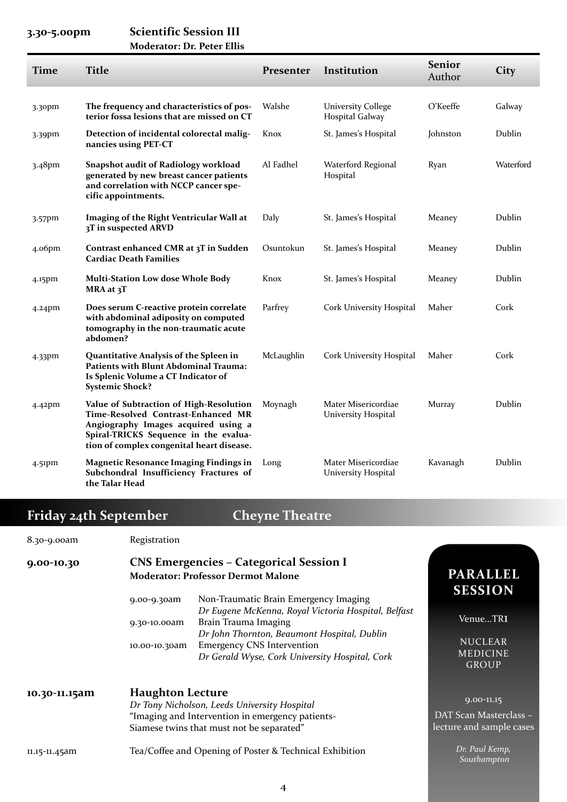### **3.30-5.00pm Scientific Session III Moderator: Dr. Peter Ellis**

| <b>Time</b>        | <b>Title</b>                                                                                                                                                                                               | Presenter  | Institution                                  | <b>Senior</b><br>Author | <b>City</b> |
|--------------------|------------------------------------------------------------------------------------------------------------------------------------------------------------------------------------------------------------|------------|----------------------------------------------|-------------------------|-------------|
| 3.30pm             | The frequency and characteristics of pos-<br>terior fossa lesions that are missed on CT                                                                                                                    | Walshe     | <b>University College</b><br>Hospital Galway | O'Keeffe                | Galway      |
| 3.39pm             | Detection of incidental colorectal malig-<br>nancies using PET-CT                                                                                                                                          | Knox       | St. James's Hospital                         | Johnston                | Dublin      |
| 3.48pm             | <b>Snapshot audit of Radiology workload</b><br>generated by new breast cancer patients<br>and correlation with NCCP cancer spe-<br>cific appointments.                                                     | Al Fadhel  | Waterford Regional<br>Hospital               | Ryan                    | Waterford   |
| 3.57pm             | Imaging of the Right Ventricular Wall at<br>3T in suspected ARVD                                                                                                                                           | Daly       | St. James's Hospital                         | Meaney                  | Dublin      |
| 4.06 <sub>pm</sub> | Contrast enhanced CMR at 3T in Sudden<br><b>Cardiac Death Families</b>                                                                                                                                     | Osuntokun  | St. James's Hospital                         | Meaney                  | Dublin      |
| 4.15pm             | <b>Multi-Station Low dose Whole Body</b><br>MRA at 3T                                                                                                                                                      | Knox       | St. James's Hospital                         | Meaney                  | Dublin      |
| $4.24$ pm          | Does serum C-reactive protein correlate<br>with abdominal adiposity on computed<br>tomography in the non-traumatic acute<br>abdomen?                                                                       | Parfrey    | Cork University Hospital                     | Maher                   | Cork        |
| 4.33pm             | Quantitative Analysis of the Spleen in<br><b>Patients with Blunt Abdominal Trauma:</b><br>Is Splenic Volume a CT Indicator of<br><b>Systemic Shock?</b>                                                    | McLaughlin | Cork University Hospital                     | Maher                   | Cork        |
| $4.42$ pm          | Value of Subtraction of High-Resolution<br>Time-Resolved Contrast-Enhanced MR<br>Angiography Images acquired using a<br>Spiral-TRICKS Sequence in the evalua-<br>tion of complex congenital heart disease. | Moynagh    | Mater Misericordiae<br>University Hospital   | Murray                  | Dublin      |
| 4.51pm             | <b>Magnetic Resonance Imaging Findings in</b><br>Subchondral Insufficiency Fractures of<br>the Talar Head                                                                                                  | Long       | Mater Misericordiae<br>University Hospital   | Kavanagh                | Dublin      |

## **Friday 24th September Cheyne Theatre**

| 8.30-9.00am   | Registration                                                                                                                                                             |                                                                                                                                      |                                                                      |  |
|---------------|--------------------------------------------------------------------------------------------------------------------------------------------------------------------------|--------------------------------------------------------------------------------------------------------------------------------------|----------------------------------------------------------------------|--|
| 9.00-10.30    | 9.00-9.30am                                                                                                                                                              | <b>CNS Emergencies - Categorical Session I</b><br><b>Moderator: Professor Dermot Malone</b><br>Non-Traumatic Brain Emergency Imaging |                                                                      |  |
|               | 9.30-10.00am                                                                                                                                                             | Dr Eugene McKenna, Royal Victoria Hospital, Belfast<br>Brain Trauma Imaging                                                          | VenueTR1                                                             |  |
|               | 10.00-10.30am                                                                                                                                                            | Dr John Thornton, Beaumont Hospital, Dublin<br><b>Emergency CNS Intervention</b><br>Dr Gerald Wyse, Cork University Hospital, Cork   | <b>NUCLEAR</b><br><b>MEDICINE</b><br><b>GROUP</b>                    |  |
| 10.30-11.15am | <b>Haughton Lecture</b><br>Dr Tony Nicholson, Leeds University Hospital<br>"Imaging and Intervention in emergency patients-<br>Siamese twins that must not be separated" |                                                                                                                                      | $9.00 - 11.15$<br>DAT Scan Masterclass -<br>lecture and sample cases |  |
| 11.15-11.45am |                                                                                                                                                                          | Tea/Coffee and Opening of Poster & Technical Exhibition                                                                              | Dr. Paul Kemp,<br>Southampton                                        |  |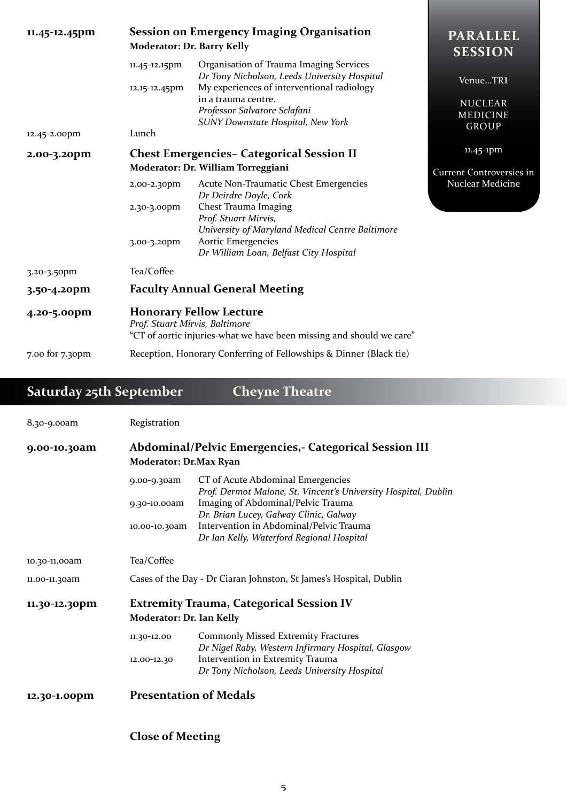| 11.45-12.45pm   | <b>Session on Emergency Imaging Organisation</b><br>Moderator: Dr. Barry Kelly                                                           | <b>PARALLEL</b><br><b>SESSION</b>                                                                                                                                                                                                        |                                                        |
|-----------------|------------------------------------------------------------------------------------------------------------------------------------------|------------------------------------------------------------------------------------------------------------------------------------------------------------------------------------------------------------------------------------------|--------------------------------------------------------|
| 12.45-2.00pm    | 11.45-12.15pm<br>12.15-12.45pm<br>Lunch                                                                                                  | Organisation of Trauma Imaging Services<br>Dr Tony Nicholson, Leeds University Hospital<br>My experiences of interventional radiology<br>in a trauma centre.<br>Professor Salvatore Sclafani<br><b>SUNY Downstate Hospital, New York</b> | VenueTR1<br><b>NUCLEAR</b><br>MEDICINE<br><b>GROUP</b> |
| 2.00-3.20pm     |                                                                                                                                          | <b>Chest Emergencies– Categorical Session II</b>                                                                                                                                                                                         | $11.45 - 1$ pm                                         |
|                 | Moderator: Dr. William Torreggiani                                                                                                       | <b>Current Controversies in</b>                                                                                                                                                                                                          |                                                        |
|                 | 2.00-2.30pm<br>2.30-3.00pm<br>3.00-3.20pm                                                                                                | Acute Non-Traumatic Chest Emergencies<br>Dr Deirdre Doyle, Cork<br>Chest Trauma Imaging<br>Prof. Stuart Mirvis,<br>University of Maryland Medical Centre Baltimore<br>Aortic Emergencies<br>Dr William Loan, Belfast City Hospital       | Nuclear Medicine                                       |
| 3.20-3.50pm     | Tea/Coffee                                                                                                                               |                                                                                                                                                                                                                                          |                                                        |
| 3.50-4.20pm     | <b>Faculty Annual General Meeting</b>                                                                                                    |                                                                                                                                                                                                                                          |                                                        |
| 4.20-5.00pm     | <b>Honorary Fellow Lecture</b><br>Prof. Stuart Mirvis, Baltimore<br>"CT of aortic injuries-what we have been missing and should we care" |                                                                                                                                                                                                                                          |                                                        |
| 7.00 for 7.30pm | Reception, Honorary Conferring of Fellowships & Dinner (Black tie)                                                                       |                                                                                                                                                                                                                                          |                                                        |

## **Saturday 25th September Cheyne Theatre**

| 8.30-9.00am   | Registration                                                                      |                                                                                                                                                                                                                                                                             |
|---------------|-----------------------------------------------------------------------------------|-----------------------------------------------------------------------------------------------------------------------------------------------------------------------------------------------------------------------------------------------------------------------------|
| 9.00-10.30am  | Abdominal/Pelvic Emergencies, - Categorical Session III<br>Moderator: Dr.Max Ryan |                                                                                                                                                                                                                                                                             |
|               | 9.00-9.30am<br>9.30-10.00am<br>10.00-10.30am                                      | CT of Acute Abdominal Emergencies<br>Prof. Dermot Malone, St. Vincent's University Hospital, Dublin<br>Imaging of Abdominal/Pelvic Trauma<br>Dr. Brian Lucey, Galway Clinic, Galway<br>Intervention in Abdominal/Pelvic Trauma<br>Dr Ian Kelly, Waterford Regional Hospital |
| 10.30-11.00am | Tea/Coffee                                                                        |                                                                                                                                                                                                                                                                             |
| 11.00-11.30am |                                                                                   | Cases of the Day - Dr Ciaran Johnston, St James's Hospital, Dublin                                                                                                                                                                                                          |
| 11.30-12.30pm | Moderator: Dr. Ian Kelly<br>11.30-12.00                                           | <b>Extremity Trauma, Categorical Session IV</b><br><b>Commonly Missed Extremity Fractures</b>                                                                                                                                                                               |
|               | 12.00-12.30                                                                       | Dr Nigel Raby, Western Infirmary Hospital, Glasgow<br>Intervention in Extremity Trauma<br>Dr Tony Nicholson, Leeds University Hospital                                                                                                                                      |
| 12.30-1.00pm  | <b>Presentation of Medals</b>                                                     |                                                                                                                                                                                                                                                                             |

**Close of Meeting**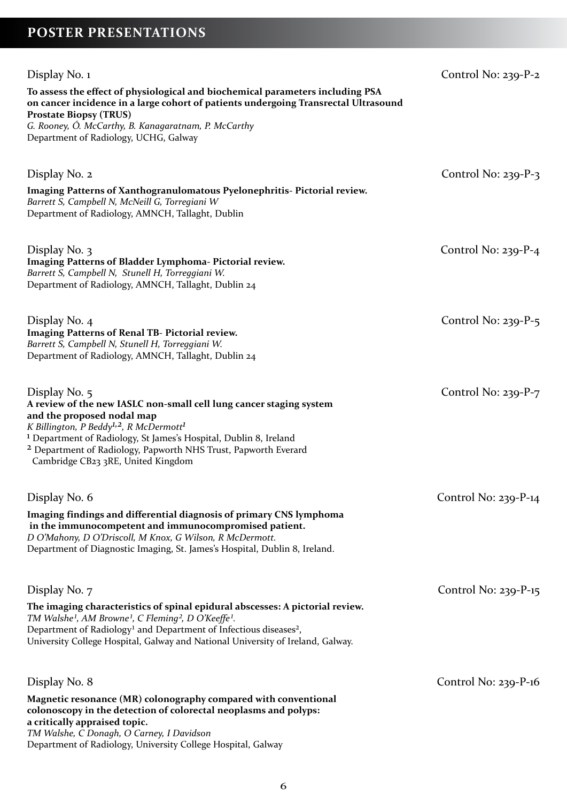## **Poster Presentations**

| Display No. 1<br>To assess the effect of physiological and biochemical parameters including PSA<br>on cancer incidence in a large cohort of patients undergoing Transrectal Ultrasound<br><b>Prostate Biopsy (TRUS)</b><br>G. Rooney, Ó. McCarthy, B. Kanagaratnam, P. McCarthy<br>Department of Radiology, UCHG, Galway                                                                  | Control No: $239-P-2$  |
|-------------------------------------------------------------------------------------------------------------------------------------------------------------------------------------------------------------------------------------------------------------------------------------------------------------------------------------------------------------------------------------------|------------------------|
| Display No. 2<br>Imaging Patterns of Xanthogranulomatous Pyelonephritis-Pictorial review.<br>Barrett S, Campbell N, McNeill G, Torregiani W<br>Department of Radiology, AMNCH, Tallaght, Dublin                                                                                                                                                                                           | Control No: $239-P-3$  |
| Display No. 3<br>Imaging Patterns of Bladder Lymphoma- Pictorial review.<br>Barrett S, Campbell N, Stunell H, Torreggiani W.<br>Department of Radiology, AMNCH, Tallaght, Dublin 24                                                                                                                                                                                                       | Control No: $239-P-4$  |
| Display No. 4<br>Imaging Patterns of Renal TB- Pictorial review.<br>Barrett S, Campbell N, Stunell H, Torreggiani W.<br>Department of Radiology, AMNCH, Tallaght, Dublin 24                                                                                                                                                                                                               | Control No: $239-P-5$  |
| Display No. 5<br>A review of the new IASLC non-small cell lung cancer staging system<br>and the proposed nodal map<br>K Billington, P Beddy <sup>1,2</sup> , R McDermott <sup>1</sup><br><sup>1</sup> Department of Radiology, St James's Hospital, Dublin 8, Ireland<br><sup>2</sup> Department of Radiology, Papworth NHS Trust, Papworth Everard<br>Cambridge CB23 3RE, United Kingdom | Control No: $239-P-7$  |
| Display No. 6<br>Imaging findings and differential diagnosis of primary CNS lymphoma<br>in the immunocompetent and immunocompromised patient.<br>D O'Mahony, D O'Driscoll, M Knox, G Wilson, R McDermott.<br>Department of Diagnostic Imaging, St. James's Hospital, Dublin 8, Ireland.                                                                                                   | Control No: $239-P-14$ |
| Display No. 7<br>The imaging characteristics of spinal epidural abscesses: A pictorial review.<br>TM Walshe <sup>1</sup> , AM Browne <sup>1</sup> , C Fleming <sup>2</sup> , D O'Keeffe <sup>1</sup> .<br>Department of Radiology <sup>1</sup> and Department of Infectious diseases <sup>2</sup> ,<br>University College Hospital, Galway and National University of Ireland, Galway.    | Control No: $239-P-15$ |
| Display No. 8<br>Magnetic resonance (MR) colonography compared with conventional<br>colonoscopy in the detection of colorectal neoplasms and polyps:<br>a critically appraised topic.<br>TM Walshe, C Donagh, O Carney, I Davidson<br>Department of Radiology, University College Hospital, Galway                                                                                        | Control No: $239-P-16$ |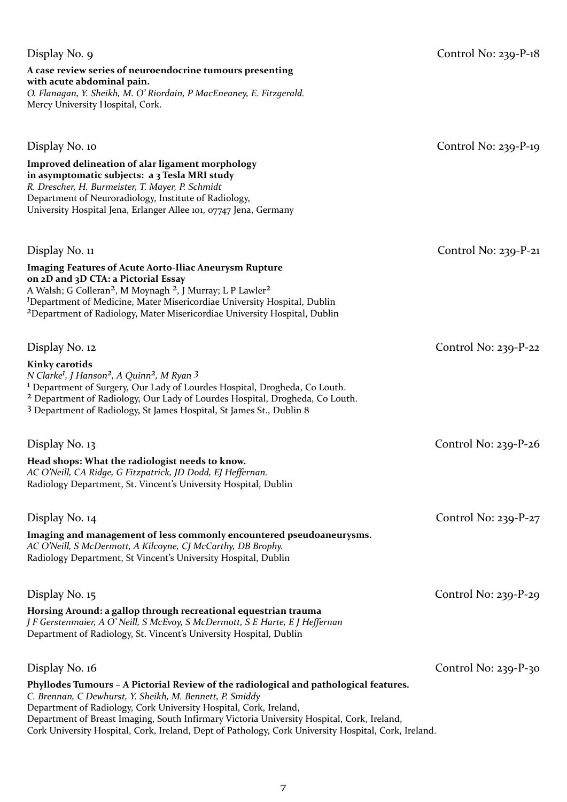#### **A case review series of neuroendocrine tumours presenting with acute abdominal pain.** *O. Flanagan, Y. Sheikh, M. O' Riordain, P MacEneaney, E. Fitzgerald.* Mercy University Hospital, Cork.

| Display No. 10                                                                                                                                                                                                                                                                                                                                                                                                               | Control No: $239-P-19$ |
|------------------------------------------------------------------------------------------------------------------------------------------------------------------------------------------------------------------------------------------------------------------------------------------------------------------------------------------------------------------------------------------------------------------------------|------------------------|
| <b>Improved delineation of alar ligament morphology</b><br>in asymptomatic subjects: a 3 Tesla MRI study<br>R. Drescher, H. Burmeister, T. Mayer, P. Schmidt<br>Department of Neuroradiology, Institute of Radiology,<br>University Hospital Jena, Erlanger Allee 101, 07747 Jena, Germany                                                                                                                                   |                        |
| Display No. 11                                                                                                                                                                                                                                                                                                                                                                                                               | Control No: $239-P-21$ |
| <b>Imaging Features of Acute Aorto-Iliac Aneurysm Rupture</b><br>on 2D and 3D CTA: a Pictorial Essay<br>A Walsh; G Colleran <sup>2</sup> , M Moynagh <sup>2</sup> , J Murray; L P Lawler <sup>2</sup><br><sup>1</sup> Department of Medicine, Mater Misericordiae University Hospital, Dublin<br><sup>2</sup> Department of Radiology, Mater Misericordiae University Hospital, Dublin                                       |                        |
| Display No. 12                                                                                                                                                                                                                                                                                                                                                                                                               | Control No: $239-P-22$ |
| <b>Kinky carotids</b><br>N Clarke <sup>1</sup> , J Hanson <sup>2</sup> , A Quinn <sup>2</sup> , M Ryan 3<br><sup>1</sup> Department of Surgery, Our Lady of Lourdes Hospital, Drogheda, Co Louth.<br><sup>2</sup> Department of Radiology, Our Lady of Lourdes Hospital, Drogheda, Co Louth.<br>3 Department of Radiology, St James Hospital, St James St., Dublin 8                                                         |                        |
| Display No. 13                                                                                                                                                                                                                                                                                                                                                                                                               | Control No: $239-P-26$ |
| Head shops: What the radiologist needs to know.<br>AC O'Neill, CA Ridge, G Fitzpatrick, JD Dodd, EJ Heffernan.<br>Radiology Department, St. Vincent's University Hospital, Dublin                                                                                                                                                                                                                                            |                        |
| Display No. 14                                                                                                                                                                                                                                                                                                                                                                                                               | Control No: $239-P-27$ |
| Imaging and management of less commonly encountered pseudoaneurysms.<br>AC O'Neill, S McDermott, A Kilcoyne, CJ McCarthy, DB Brophy.<br>Radiology Department, St Vincent's University Hospital, Dublin                                                                                                                                                                                                                       |                        |
| Display No. 15                                                                                                                                                                                                                                                                                                                                                                                                               | Control No: $239-P-29$ |
| Horsing Around: a gallop through recreational equestrian trauma<br>J F Gerstenmaier, A O' Neill, S McEvoy, S McDermott, S E Harte, E J Heffernan<br>Department of Radiology, St. Vincent's University Hospital, Dublin                                                                                                                                                                                                       |                        |
| Display No. 16                                                                                                                                                                                                                                                                                                                                                                                                               | Control No: $239-P-30$ |
| Phyllodes Tumours - A Pictorial Review of the radiological and pathological features.<br>C. Brennan, C Dewhurst, Y. Sheikh, M. Bennett, P. Smiddy<br>Department of Radiology, Cork University Hospital, Cork, Ireland,<br>Department of Breast Imaging, South Infirmary Victoria University Hospital, Cork, Ireland,<br>Cork University Hospital, Cork, Ireland, Dept of Pathology, Cork University Hospital, Cork, Ireland. |                        |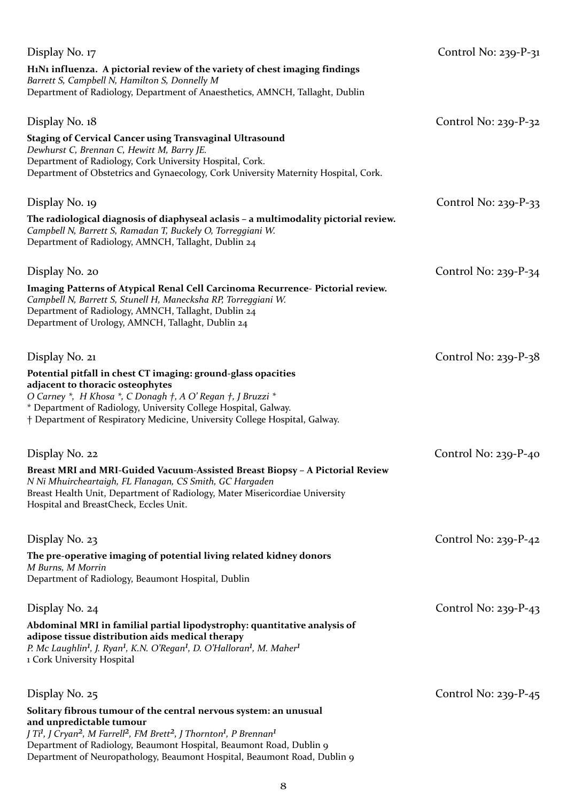| Display No. 17                                                                                                                                                                                                                                                                                                    | Control No: $239-P-31$ |
|-------------------------------------------------------------------------------------------------------------------------------------------------------------------------------------------------------------------------------------------------------------------------------------------------------------------|------------------------|
| H <sub>1</sub> N <sub>1</sub> influenza. A pictorial review of the variety of chest imaging findings<br>Barrett S, Campbell N, Hamilton S, Donnelly M<br>Department of Radiology, Department of Anaesthetics, AMNCH, Tallaght, Dublin                                                                             |                        |
|                                                                                                                                                                                                                                                                                                                   |                        |
| Display No. 18                                                                                                                                                                                                                                                                                                    | Control No: $239-P-32$ |
| <b>Staging of Cervical Cancer using Transvaginal Ultrasound</b><br>Dewhurst C, Brennan C, Hewitt M, Barry JE.<br>Department of Radiology, Cork University Hospital, Cork.<br>Department of Obstetrics and Gynaecology, Cork University Maternity Hospital, Cork.                                                  |                        |
| Display No. 19                                                                                                                                                                                                                                                                                                    | Control No: $239-P-33$ |
| The radiological diagnosis of diaphyseal aclasis - a multimodality pictorial review.<br>Campbell N, Barrett S, Ramadan T, Buckely O, Torreggiani W.<br>Department of Radiology, AMNCH, Tallaght, Dublin 24                                                                                                        |                        |
| Display No. 20                                                                                                                                                                                                                                                                                                    | Control No: $239-P-34$ |
| Imaging Patterns of Atypical Renal Cell Carcinoma Recurrence- Pictorial review.<br>Campbell N, Barrett S, Stunell H, Manecksha RP, Torreggiani W.<br>Department of Radiology, AMNCH, Tallaght, Dublin 24<br>Department of Urology, AMNCH, Tallaght, Dublin 24                                                     |                        |
| Display No. 21                                                                                                                                                                                                                                                                                                    | Control No: $239-P-38$ |
| Potential pitfall in chest CT imaging: ground-glass opacities<br>adjacent to thoracic osteophytes<br>O Carney *, H Khosa *, C Donagh †, A O' Regan †, J Bruzzi *<br>* Department of Radiology, University College Hospital, Galway.<br>† Department of Respiratory Medicine, University College Hospital, Galway. |                        |
| Display No. 22                                                                                                                                                                                                                                                                                                    | Control No: $239-P-40$ |
| Breast MRI and MRI-Guided Vacuum-Assisted Breast Biopsy - A Pictorial Review<br>N Ni Mhuircheartaigh, FL Flanagan, CS Smith, GC Hargaden<br>Breast Health Unit, Department of Radiology, Mater Misericordiae University<br>Hospital and BreastCheck, Eccles Unit.                                                 |                        |
| Display No. 23                                                                                                                                                                                                                                                                                                    | Control No: $239-P-42$ |
| The pre-operative imaging of potential living related kidney donors<br>M Burns, M Morrin<br>Department of Radiology, Beaumont Hospital, Dublin                                                                                                                                                                    |                        |
| Display No. 24                                                                                                                                                                                                                                                                                                    | Control No: $239-P-43$ |
| Abdominal MRI in familial partial lipodystrophy: quantitative analysis of<br>adipose tissue distribution aids medical therapy<br>P. Mc Laughlin <sup>1</sup> , J. Ryan <sup>1</sup> , K.N. O'Regan <sup>1</sup> , D. O'Halloran <sup>1</sup> , M. Maher <sup>1</sup><br>1 Cork University Hospital                |                        |
| Display No. 25                                                                                                                                                                                                                                                                                                    | Control No: $239-P-45$ |
| Solitary fibrous tumour of the central nervous system: an unusual<br>and unpredictable tumour<br>J Ti <sup>1</sup> , J Cryan <sup>2</sup> , M Farrell <sup>2</sup> , FM Brett <sup>2</sup> , J Thornton <sup>1</sup> , P Brennan <sup>1</sup>                                                                     |                        |
| Department of Radiology, Beaumont Hospital, Beaumont Road, Dublin 9<br>Department of Neuropathology, Beaumont Hospital, Beaumont Road, Dublin 9                                                                                                                                                                   |                        |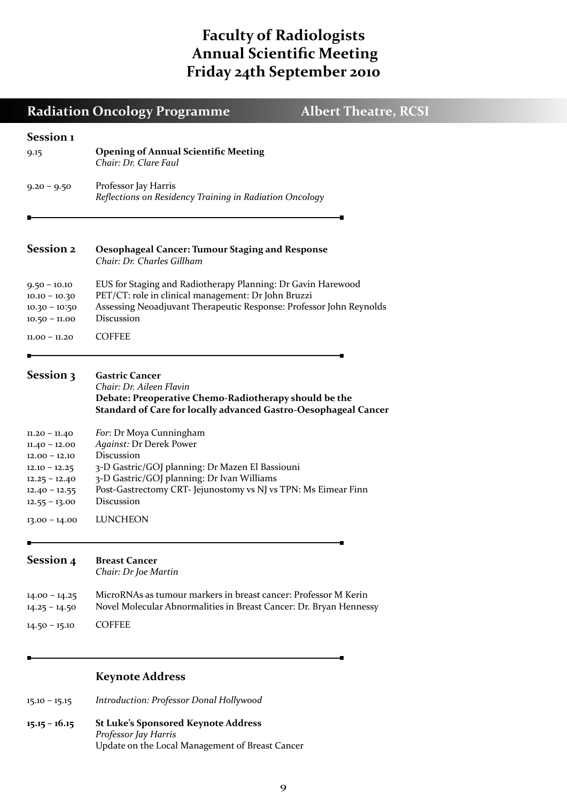## **Faculty of Radiologists Annual Scientific Meeting Friday 24th September 2010**

|                                                                                                                                   | <b>Radiation Oncology Programme</b><br><b>Albert Theatre, RCSI</b>                                                                                                                                                                                |
|-----------------------------------------------------------------------------------------------------------------------------------|---------------------------------------------------------------------------------------------------------------------------------------------------------------------------------------------------------------------------------------------------|
| Session <sub>1</sub><br>9.15                                                                                                      | <b>Opening of Annual Scientific Meeting</b><br>Chair: Dr. Clare Faul                                                                                                                                                                              |
| $9.20 - 9.50$                                                                                                                     | Professor Jay Harris<br>Reflections on Residency Training in Radiation Oncology                                                                                                                                                                   |
|                                                                                                                                   |                                                                                                                                                                                                                                                   |
| <b>Session 2</b>                                                                                                                  | <b>Oesophageal Cancer: Tumour Staging and Response</b><br>Chair: Dr. Charles Gillham                                                                                                                                                              |
| $9.50 - 10.10$<br>$10.10 - 10.30$<br>$10.30 - 10:50$<br>$10.50 - 11.00$                                                           | EUS for Staging and Radiotherapy Planning: Dr Gavin Harewood<br>PET/CT: role in clinical management: Dr John Bruzzi<br>Assessing Neoadjuvant Therapeutic Response: Professor John Reynolds<br>Discussion                                          |
| $11.00 - 11.20$                                                                                                                   | <b>COFFEE</b>                                                                                                                                                                                                                                     |
| Session 3                                                                                                                         | <b>Gastric Cancer</b><br>Chair: Dr. Aileen Flavin<br>Debate: Preoperative Chemo-Radiotherapy should be the<br><b>Standard of Care for locally advanced Gastro-Oesophageal Cancer</b>                                                              |
| $11.20 - 11.40$<br>$11.40 - 12.00$<br>$12.00 - 12.10$<br>$12.10 - 12.25$<br>$12.25 - 12.40$<br>$12.40 - 12.55$<br>$12.55 - 13.00$ | For: Dr Moya Cunningham<br>Against: Dr Derek Power<br>Discussion<br>3-D Gastric/GOJ planning: Dr Mazen El Bassiouni<br>3-D Gastric/GOJ planning: Dr Ivan Williams<br>Post-Gastrectomy CRT- Jejunostomy vs NJ vs TPN: Ms Eimear Finn<br>Discussion |
| $13.00 - 14.00$                                                                                                                   | LUNCHEON                                                                                                                                                                                                                                          |
| Session 4                                                                                                                         | <b>Breast Cancer</b><br>Chair: Dr Joe Martin                                                                                                                                                                                                      |
| $14.00 - 14.25$<br>$14.25 - 14.50$                                                                                                | MicroRNAs as tumour markers in breast cancer: Professor M Kerin<br>Novel Molecular Abnormalities in Breast Cancer: Dr. Bryan Hennessy                                                                                                             |
| $14.50 - 15.10$                                                                                                                   | <b>COFFEE</b>                                                                                                                                                                                                                                     |
|                                                                                                                                   |                                                                                                                                                                                                                                                   |

### **Keynote Address**

15.10 – 15.15 *Introduction: Professor Donal Hollywood*

**15.15 – 16.15 St Luke's Sponsored Keynote Address** *Professor Jay Harris* Update on the Local Management of Breast Cancer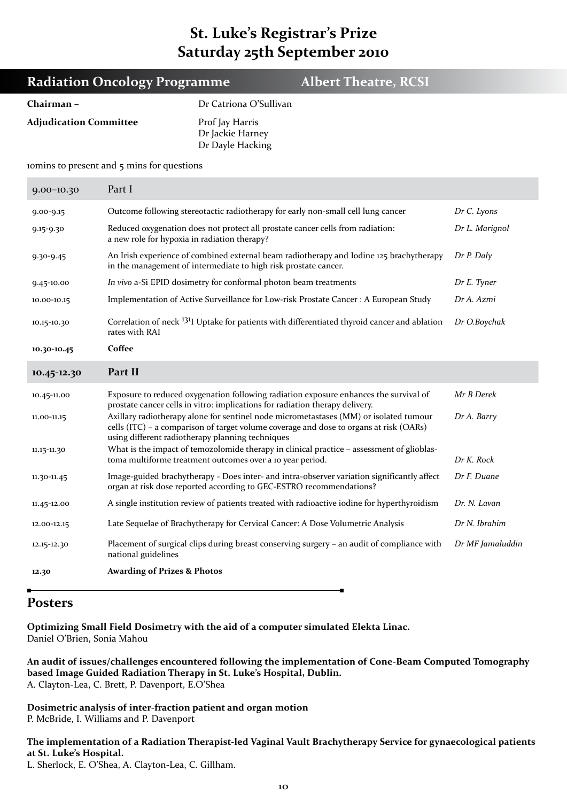## **St. Luke's Registrar's Prize Saturday 25th September 2010**

| <b>Albert Theatre, RCSI</b><br><b>Radiation Oncology Programme</b> |                                                                                                                                                                          |                                                                                                                                                                                                                                     |  |               |  |  |
|--------------------------------------------------------------------|--------------------------------------------------------------------------------------------------------------------------------------------------------------------------|-------------------------------------------------------------------------------------------------------------------------------------------------------------------------------------------------------------------------------------|--|---------------|--|--|
| Chairman-                                                          |                                                                                                                                                                          | Dr Catriona O'Sullivan                                                                                                                                                                                                              |  |               |  |  |
| <b>Adjudication Committee</b>                                      |                                                                                                                                                                          | Prof Jay Harris<br>Dr Jackie Harney<br>Dr Dayle Hacking                                                                                                                                                                             |  |               |  |  |
|                                                                    | iomins to present and 5 mins for questions                                                                                                                               |                                                                                                                                                                                                                                     |  |               |  |  |
| $9.00 - 10.30$                                                     | Part I                                                                                                                                                                   |                                                                                                                                                                                                                                     |  |               |  |  |
| $9.00 - 9.15$                                                      |                                                                                                                                                                          | Outcome following stereotactic radiotherapy for early non-small cell lung cancer<br>Dr C. Lyons                                                                                                                                     |  |               |  |  |
| 9.15-9.30                                                          |                                                                                                                                                                          | Reduced oxygenation does not protect all prostate cancer cells from radiation:<br>Dr L. Marignol<br>a new role for hypoxia in radiation therapy?                                                                                    |  |               |  |  |
| $9.30 - 9.45$                                                      | An Irish experience of combined external beam radiotherapy and Iodine 125 brachytherapy<br>Dr P. Daly<br>in the management of intermediate to high risk prostate cancer. |                                                                                                                                                                                                                                     |  |               |  |  |
| 9.45-10.00                                                         | In vivo a-Si EPID dosimetry for conformal photon beam treatments                                                                                                         | Dr E. Tyner                                                                                                                                                                                                                         |  |               |  |  |
| 10.00-10.15                                                        | Implementation of Active Surveillance for Low-risk Prostate Cancer: A European Study                                                                                     | Dr A. Azmi                                                                                                                                                                                                                          |  |               |  |  |
| 10.15-10.30                                                        | Correlation of neck <sup>131</sup> I Uptake for patients with differentiated thyroid cancer and ablation<br>rates with RAI                                               | Dr O.Boychak                                                                                                                                                                                                                        |  |               |  |  |
| 10.30-10.45                                                        | Coffee                                                                                                                                                                   |                                                                                                                                                                                                                                     |  |               |  |  |
| 10.45-12.30                                                        | Part II                                                                                                                                                                  |                                                                                                                                                                                                                                     |  |               |  |  |
| 10.45-11.00                                                        |                                                                                                                                                                          | Exposure to reduced oxygenation following radiation exposure enhances the survival of<br>prostate cancer cells in vitro: implications for radiation therapy delivery.                                                               |  | Mr B Derek    |  |  |
| 11.00-11.15                                                        |                                                                                                                                                                          | Axillary radiotherapy alone for sentinel node micrometastases (MM) or isolated tumour<br>cells (ITC) - a comparison of target volume coverage and dose to organs at risk (OARs)<br>using different radiotherapy planning techniques |  | Dr A. Barry   |  |  |
| 11.15-11.30                                                        |                                                                                                                                                                          | What is the impact of temozolomide therapy in clinical practice - assessment of glioblas-<br>toma multiforme treatment outcomes over a 10 year period.                                                                              |  | Dr K. Rock    |  |  |
| 11.30-11.45                                                        |                                                                                                                                                                          | Image-guided brachytherapy - Does inter- and intra-observer variation significantly affect<br>organ at risk dose reported according to GEC-ESTRO recommendations?                                                                   |  | Dr F. Duane   |  |  |
| 11.45-12.00                                                        |                                                                                                                                                                          | A single institution review of patients treated with radioactive iodine for hyperthyroidism                                                                                                                                         |  | Dr. N. Lavan  |  |  |
| 12.00-12.15                                                        |                                                                                                                                                                          | Late Sequelae of Brachytherapy for Cervical Cancer: A Dose Volumetric Analysis                                                                                                                                                      |  | Dr N. Ibrahim |  |  |

12.15-12.30 Placement of surgical clips during breast conserving surgery – an audit of compliance with national guidelines *Dr MF Jamaluddin*

**12.30 Awarding of Prizes & Photos**

### **Posters**

**Optimizing Small Field Dosimetry with the aid of a computer simulated Elekta Linac.** Daniel O'Brien, Sonia Mahou

**An audit of issues/challenges encountered following the implementation of Cone-Beam Computed Tomography based Image Guided Radiation Therapy in St. Luke's Hospital, Dublin.** A. Clayton-Lea, C. Brett, P. Davenport, E.O'Shea

**Dosimetric analysis of inter-fraction patient and organ motion** P. McBride, I. Williams and P. Davenport

**The implementation of a Radiation Therapist-led Vaginal Vault Brachytherapy Service for gynaecological patients at St. Luke's Hospital.**

L. Sherlock, E. O'Shea, A. Clayton-Lea, C. Gillham.